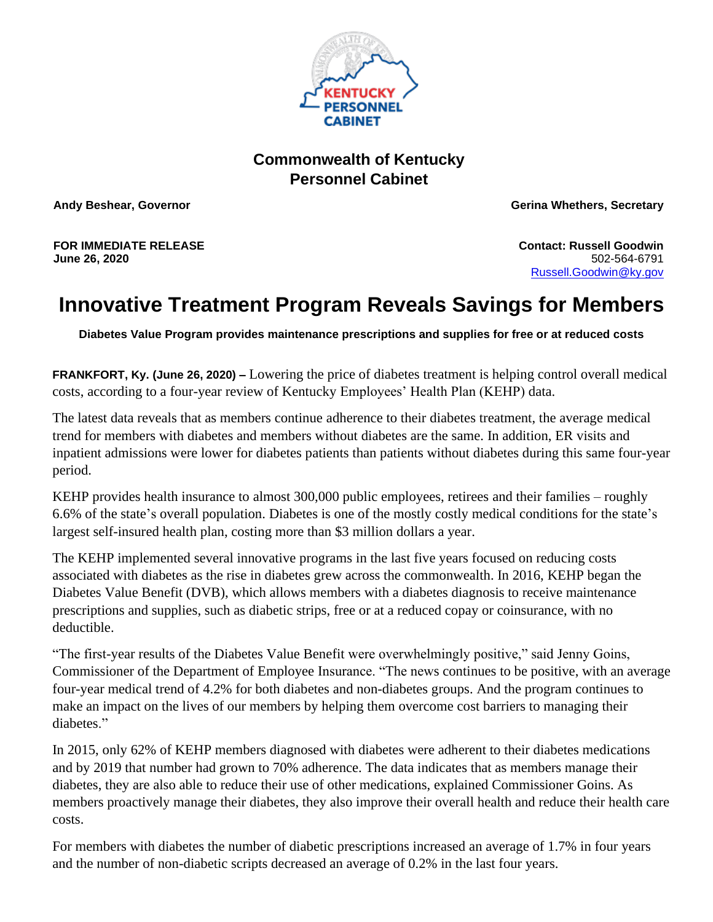

## **Commonwealth of Kentucky Personnel Cabinet**

**Andy Beshear, Governor Gerina Whethers, Secretary**

**FOR IMMEDIATE RELEASE June 26, 2020**

**Contact: Russell Goodwin** 502-564-6791 [Russell.Goodwin@ky.gov](mailto:LaDonna.Koebel@ky.gov)

## **Innovative Treatment Program Reveals Savings for Members**

**Diabetes Value Program provides maintenance prescriptions and supplies for free or at reduced costs**

**FRANKFORT, Ky. (June 26, 2020) –** Lowering the price of diabetes treatment is helping control overall medical costs, according to a four-year review of Kentucky Employees' Health Plan (KEHP) data.

The latest data reveals that as members continue adherence to their diabetes treatment, the average medical trend for members with diabetes and members without diabetes are the same. In addition, ER visits and inpatient admissions were lower for diabetes patients than patients without diabetes during this same four-year period.

KEHP provides health insurance to almost 300,000 public employees, retirees and their families – roughly 6.6% of the state's overall population. Diabetes is one of the mostly costly medical conditions for the state's largest self-insured health plan, costing more than \$3 million dollars a year.

The KEHP implemented several innovative programs in the last five years focused on reducing costs associated with diabetes as the rise in diabetes grew across the commonwealth. In 2016, KEHP began the Diabetes Value Benefit (DVB), which allows members with a diabetes diagnosis to receive maintenance prescriptions and supplies, such as diabetic strips, free or at a reduced copay or coinsurance, with no deductible.

"The first-year results of the Diabetes Value Benefit were overwhelmingly positive," said Jenny Goins, Commissioner of the Department of Employee Insurance. "The news continues to be positive, with an average four-year medical trend of 4.2% for both diabetes and non-diabetes groups. And the program continues to make an impact on the lives of our members by helping them overcome cost barriers to managing their diabetes."

In 2015, only 62% of KEHP members diagnosed with diabetes were adherent to their diabetes medications and by 2019 that number had grown to 70% adherence. The data indicates that as members manage their diabetes, they are also able to reduce their use of other medications, explained Commissioner Goins. As members proactively manage their diabetes, they also improve their overall health and reduce their health care costs.

For members with diabetes the number of diabetic prescriptions increased an average of 1.7% in four years and the number of non-diabetic scripts decreased an average of 0.2% in the last four years.